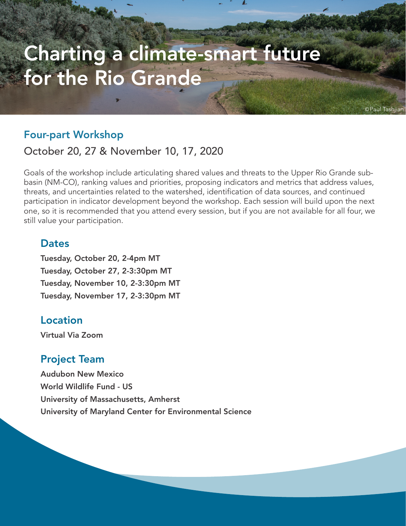# Charting a climate-smart future for the Rio Grande

# Four-part Workshop

# October 20, 27 & November 10, 17, 2020

Goals of the workshop include articulating shared values and threats to the Upper Rio Grande subbasin (NM-CO), ranking values and priorities, proposing indicators and metrics that address values, threats, and uncertainties related to the watershed, identification of data sources, and continued participation in indicator development beyond the workshop. Each session will build upon the next one, so it is recommended that you attend every session, but if you are not available for all four, we still value your participation.

Paul Tashjiar

### **Dates**

Tuesday, October 20, 2-4pm MT Tuesday, October 27, 2-3:30pm MT Tuesday, November 10, 2-3:30pm MT Tuesday, November 17, 2-3:30pm MT

# Location

Virtual Via Zoom

# Project Team

Audubon New Mexico World Wildlife Fund - US University of Massachusetts, Amherst University of Maryland Center for Environmental Science